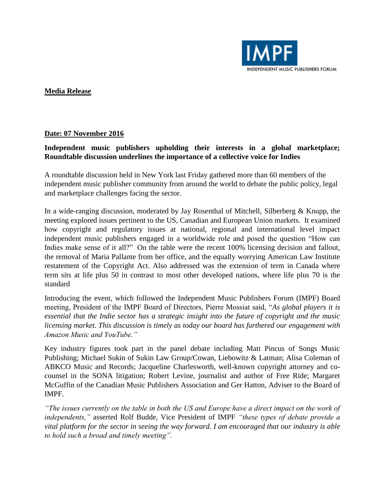

## **Media Release**

## **Date: 07 November 2016**

## **Independent music publishers upholding their interests in a global marketplace; Roundtable discussion underlines the importance of a collective voice for Indies**

A roundtable discussion held in New York last Friday gathered more than 60 members of the independent music publisher community from around the world to debate the public policy, legal and marketplace challenges facing the sector.

In a wide-ranging discussion, moderated by Jay Rosenthal of Mitchell, Silberberg  $\&$  Knupp, the meeting explored issues pertinent to the US, Canadian and European Union markets. It examined how copyright and regulatory issues at national, regional and international level impact independent music publishers engaged in a worldwide role and posed the question "How can Indies make sense of it all?" On the table were the recent 100% licensing decision and fallout, the removal of Maria Pallante from her office, and the equally worrying American Law Institute restatement of the Copyright Act. Also addressed was the extension of term in Canada where term sits at life plus 50 in contrast to most other developed nations, where life plus 70 is the standard

Introducing the event, which followed the Independent Music Publishers Forum (IMPF) Board meeting, President of the IMPF Board of Directors, Pierre Mossiat said, "*As global players it is essential that the Indie sector has a strategic insight into the future of copyright and the music licensing market. This discussion is timely as today our board has furthered our engagement with Amazon Music and YouTube."*

Key industry figures took part in the panel debate including Matt Pincus of Songs Music Publishing; Michael Sukin of Sukin Law Group/Cowan, Liebowitz & Latman; Alisa Coleman of ABKCO Music and Records; Jacqueline Charlesworth, well-known copyright attorney and cocounsel in the SONA litigation; Robert Levine, journalist and author of Free Ride; Margaret McGuffin of the Canadian Music Publishers Association and Ger Hatton, Adviser to the Board of IMPF.

*"The issues currently on the table in both the US and Europe have a direct impact on the work of independents,"* asserted Rolf Budde, Vice President of IMPF *"these types of debate provide a vital platform for the sector in seeing the way forward. I am encouraged that our industry is able to hold such a broad and timely meeting".*